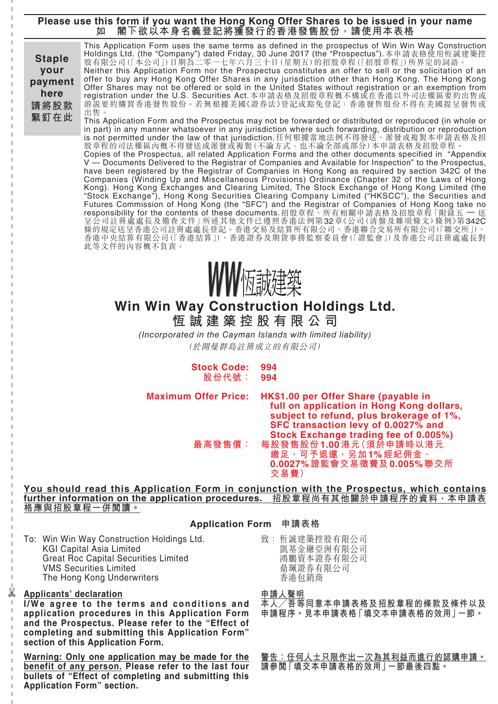#### **Please use this form if you want the Hong Kong Offer Shares to be issued in your name 如 閣下欲以本身名義登記將獲發行的香港發售股份,請使用本表格**

This Application Form uses the same terms as defined in the prospectus of Win Win Way Construction Holdings Ltd. (the "Company") dated Friday, 30 June 2017 (the "Prospectus").本申請表格使用恆誠建築控 股有限公司(「本公司」)日期為二零一七年六月三十日(星期五)的招股章程(「招股章程」)所界定的詞語。

**payment**  Neither this Application Form nor the Prospectus constitutes an offer to sell or the solicitation of an offer to buy any Hong Kong Offer Shares in any jurisdiction other than Hong Kong. The Hong Kong Offer Shares may not be offered or sold in the United States without registration or an exemption from registration under the U.S. Securities Act.本申請表格及招股章程概不構成在香港以外司法權區要約出售或 游說要約購買香港發售股份。若無根據美國《證券法》登記或豁免登記,香港發售股份不得在美國提呈發售或 出售。

> This Application Form and the Prospectus may not be forwarded or distributed or reproduced (in whole or in part) in any manner whatsoever in any jurisdiction where such forwarding, distribution or reproduction is not permitted under the law of that jurisdiction.任何根據當地法例不得發送、派發或複製本申請表格及招 股章程的司法權區內概不得發送或派發或複製(不論方式,也不論全部或部分)本申請表格及招股章程。 Copies of the Prospectus, all related Application Forms and the other documents specified in "Appendix V — Documents Delivered to the Registrar of Companies and Available for Inspection" to the Prospectus, have been registered by the Registrar of Companies in Hong Kong as required by section 342C of the Companies (Winding Up and Miscellaneous Provisions) Ordinance (Chapter 32 of the Laws of Hong Kong). Hong Kong Exchanges and Clearing Limited, The Stock Exchange of Hong Kong Limited (the "Stock Exchange"), Hong Kong Securities Clearing Company Limited ("HKSCC"), the Securities and Futures Commission of Hong Kong (the "SFC") and the Registrar of Companies of Hong Kong take no responsibility for the contents of these documents.招股章程、所有相關申請表格及招股章程「附錄五 — 送 呈公司註冊處處長及備查文件」所述其他文件已遵照香港法例第 32 章《公司(清盤及雜項條文)條例》第 342C 條的規定送呈香港公司註冊處處長登記。香港交易及結算所有限公司、香港聯合交易所有限公司(「聯交所」)、 香港中央結算有限公司(「香港結算」)、香港證券及期貨事務監察委員會(「證監會」)及香港公司註冊處處長對 此等文件的內容概不負責。



# **Win Win Way Construction Holdings Ltd. 恆 誠 建 築 控 股 有 限 公 司**

*(Incorporated in the Cayman Islands with limited liability)* (於開曼群島註冊成立的有限公司)

> **Stock Code: 994 股份代號: 994**

**Maximum Offer Price: HK\$1.00 per Offer Share (payable in full on application in Hong Kong dollars, subject to refund, plus brokerage of 1%, SFC transaction levy of 0.0027% and Stock Exchange trading fee of 0.005%) 最高發售價: 每股發售股份 1.00 港元(須於申請時以港元 繳足,可予退還,另加 1% 經紀佣金、 0.0027% 證監會交易徵費及 0.005% 聯交所 交易費)**

**You should read this Application Form in conjunction with the Prospectus, which contains further information on the application procedures. 招股章程尚有其他關於申請程序的資料,本申請表 格應與招股章程一併閱讀。**

**Application Form 申請表格**

To: Win Win Way Construction Holdings Ltd. KGI Capital Asia Limited Great Roc Capital Securities Limited VMS Securities Limited The Hong Kong Underwriters

#### **Applicants' declaration**

**Staple your**

**here 請將股款 緊釘在此**

**I/We agree to the terms and conditions and application procedures in this Application Form and the Prospectus. Please refer to the "Effect of completing and submitting this Application Form" section of this Application Form.**

**Warning: Only one application may be made for the benefit of any person. Please refer to the last four bullets of "Effect of completing and submitting this Application Form" section.**

致: 恆誠建築控股有限公司 凱基金融亞洲有限公司 鴻鵬資本證券有限公司 鼎珮證券有限公司 香港包銷商

**申請人聲明**

**本人╱吾等同意本申請表格及招股章程的條款及條件以及 申請程序。見本申請表格「填交本申請表格的效用」一節。**

**警告:任何人士只限作出一次為其利益而進行的認購申請。 請參閱「填交本申請表格的效用」一節最後四點。**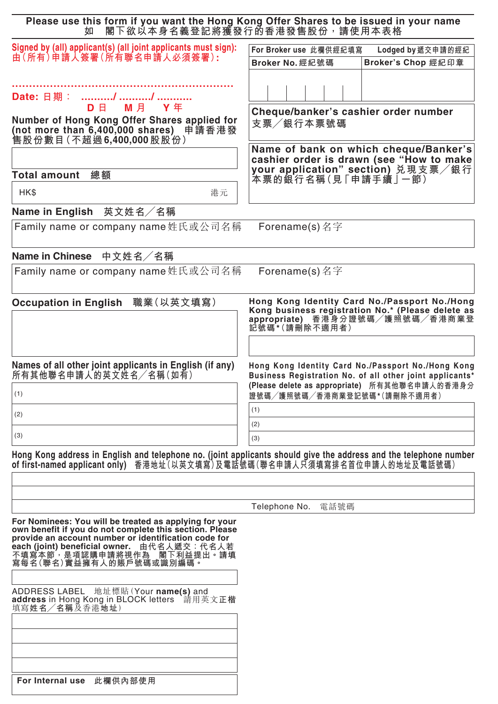| Please use this form if you want the Hong Kong Offer Shares to be issued in your name<br>閣下欲以本身名義登記將獲發行的香港發售股份,請使用本表格<br>如                                                                                                                                                       |                                                                                                                                                                                                |  |  |  |  |
|----------------------------------------------------------------------------------------------------------------------------------------------------------------------------------------------------------------------------------------------------------------------------------|------------------------------------------------------------------------------------------------------------------------------------------------------------------------------------------------|--|--|--|--|
| Signed by (all) applicant(s) (all joint applicants must sign):<br>由 (所有) 申請人簽署 (所有聯名申請人必須簽署) :                                                                                                                                                                                   | For Broker use 此欄供經紀填寫<br>Lodged by 遞交申請的經紀                                                                                                                                                    |  |  |  |  |
|                                                                                                                                                                                                                                                                                  | Broker No. 經紀號碼<br>Broker's Chop 經紀印章                                                                                                                                                          |  |  |  |  |
|                                                                                                                                                                                                                                                                                  |                                                                                                                                                                                                |  |  |  |  |
| Date: 日期: / /                                                                                                                                                                                                                                                                    |                                                                                                                                                                                                |  |  |  |  |
| D日 M月 Y年                                                                                                                                                                                                                                                                         | Cheque/banker's cashier order number                                                                                                                                                           |  |  |  |  |
| Number of Hong Kong Offer Shares applied for<br>(not more than 6,400,000 shares) 申請香港發<br>售股份數目(不超過6,400,000股股份)                                                                                                                                                                 | 支票/銀行本票號碼                                                                                                                                                                                      |  |  |  |  |
|                                                                                                                                                                                                                                                                                  | Name of bank on which cheque/Banker's                                                                                                                                                          |  |  |  |  |
|                                                                                                                                                                                                                                                                                  | cashier order is drawn (see "How to make                                                                                                                                                       |  |  |  |  |
| <b>Total amount</b><br>總額                                                                                                                                                                                                                                                        | your application" section) 兑現支票/銀行<br>本票的銀行名稱(見「申請手續」一節)                                                                                                                                       |  |  |  |  |
| 港元<br>HK\$                                                                                                                                                                                                                                                                       |                                                                                                                                                                                                |  |  |  |  |
| Name in English 英文姓名/名稱                                                                                                                                                                                                                                                          |                                                                                                                                                                                                |  |  |  |  |
| Family name or company name姓氏或公司名稱                                                                                                                                                                                                                                               | Forename(s) 名字                                                                                                                                                                                 |  |  |  |  |
| Name in Chinese 中文姓名/名稱                                                                                                                                                                                                                                                          |                                                                                                                                                                                                |  |  |  |  |
| Family name or company name姓氏或公司名稱                                                                                                                                                                                                                                               | Forename(s) 名字                                                                                                                                                                                 |  |  |  |  |
| <b>Occupation in English</b><br>職業(以英文填寫)                                                                                                                                                                                                                                        | Hong Kong Identity Card No./Passport No./Hong<br>Kong business registration No.* (Please delete as<br>appropriate) 香港身分證號碼/護照號碼/香港商業登<br>記號碼*(請刪除不適用者)                                         |  |  |  |  |
|                                                                                                                                                                                                                                                                                  |                                                                                                                                                                                                |  |  |  |  |
| Names of all other joint applicants in English (if any)<br>所有其他聯名申請人的英文姓名/名稱(如有)                                                                                                                                                                                                 | Hong Kong Identity Card No./Passport No./Hong Kong<br>Business Registration No. of all other joint applicants*<br>(Please delete as appropriate) 所有其他聯名申請人的香港身分                                |  |  |  |  |
| (1)                                                                                                                                                                                                                                                                              | 證號碼/護照號碼/香港商業登記號碼*(請刪除不適用者)                                                                                                                                                                    |  |  |  |  |
| (2)                                                                                                                                                                                                                                                                              | (1)                                                                                                                                                                                            |  |  |  |  |
|                                                                                                                                                                                                                                                                                  | (2)                                                                                                                                                                                            |  |  |  |  |
| (3)                                                                                                                                                                                                                                                                              | (3)                                                                                                                                                                                            |  |  |  |  |
|                                                                                                                                                                                                                                                                                  | Hong Kong address in English and telephone no. (joint applicants should give the address and the telephone number<br>of first-named applicant only) 香港地址(以英文填寫)及電話號碼(聯名申請人只須填寫排名首位申請人的地址及電話號碼) |  |  |  |  |
|                                                                                                                                                                                                                                                                                  |                                                                                                                                                                                                |  |  |  |  |
|                                                                                                                                                                                                                                                                                  |                                                                                                                                                                                                |  |  |  |  |
|                                                                                                                                                                                                                                                                                  | 電話號碼<br>Telephone No.                                                                                                                                                                          |  |  |  |  |
| For Nominees: You will be treated as applying for your<br>own benefit if you do not complete this section. Please<br>provide an account number or identification code for<br>each (joint) beneficial owner. 由代名人遞交:代名人若<br>不填寫本節,是項認購申請將視作為,閣下利益提出。請填<br>寫每名(聯名)實益擁有人的賬戶號碼或識別編碼。 |                                                                                                                                                                                                |  |  |  |  |
|                                                                                                                                                                                                                                                                                  |                                                                                                                                                                                                |  |  |  |  |
| ADDRESS LABEL 地址標貼(Your name(s) and<br>address in Hong Kong in BLOCK letters 請用英文正楷<br>填寫姓名/名稱及香港地址)                                                                                                                                                                             |                                                                                                                                                                                                |  |  |  |  |
|                                                                                                                                                                                                                                                                                  |                                                                                                                                                                                                |  |  |  |  |
|                                                                                                                                                                                                                                                                                  |                                                                                                                                                                                                |  |  |  |  |
|                                                                                                                                                                                                                                                                                  |                                                                                                                                                                                                |  |  |  |  |
|                                                                                                                                                                                                                                                                                  |                                                                                                                                                                                                |  |  |  |  |
| For Internal use 此欄供內部使用                                                                                                                                                                                                                                                         |                                                                                                                                                                                                |  |  |  |  |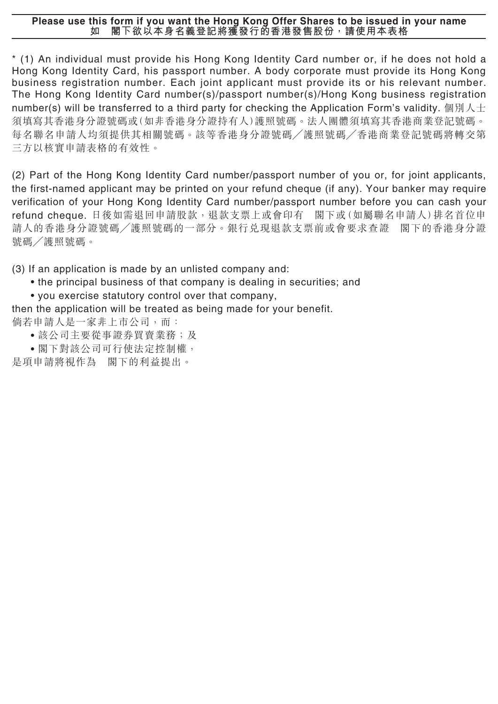#### Please use this form if you want the Hong Kong Offer Shares to be issued in your name<br>如 閣下欲以本身名義登記將獲發行的香港發售股份<sup>,</sup>請使用本表格 **如 閣下欲以本身名義登記將獲發行的香港發售股份,請使用本表格**

\* (1) An individual must provide his Hong Kong Identity Card number or, if he does not hold a Hong Kong Identity Card, his passport number. A body corporate must provide its Hong Kong business registration number. Each joint applicant must provide its or his relevant number. The Hong Kong Identity Card number(s)/passport number(s)/Hong Kong business registration number(s) will be transferred to a third party for checking the Application Form's validity. 個別人士 須填寫其香港身分證號碼或(如非香港身分證持有人)護照號碼。法人團體須填寫其香港商業登記號碼。 每名聯名申請人均須提供其相關號碼。該等香港身分證號碼/護照號碼/香港商業登記號碼將轉交第 三方以核實申請表格的有效性。

(2) Part of the Hong Kong Identity Card number/passport number of you or, for joint applicants, the first-named applicant may be printed on your refund cheque (if any). Your banker may require verification of your Hong Kong Identity Card number/passport number before you can cash your refund cheque. 日後如需退回申請股款,退款支票上或會印有 閣下或(如屬聯名申請人)排名首位申 請人的香港身分證號碼/護照號碼的一部分。銀行兑現退款支票前或會要求查證 閣下的香港身分證 號碼╱護照號碼。

(3) If an application is made by an unlisted company and:

- the principal business of that company is dealing in securities; and
- you exercise statutory control over that company,

then the application will be treated as being made for your benefit.

倘若申請人是一家非上市公司,而:

- 該公司主要從事證券買賣業務;及
- 閣下對該公司可行使法定控制權,

是項申請將視作為 閣下的利益提出。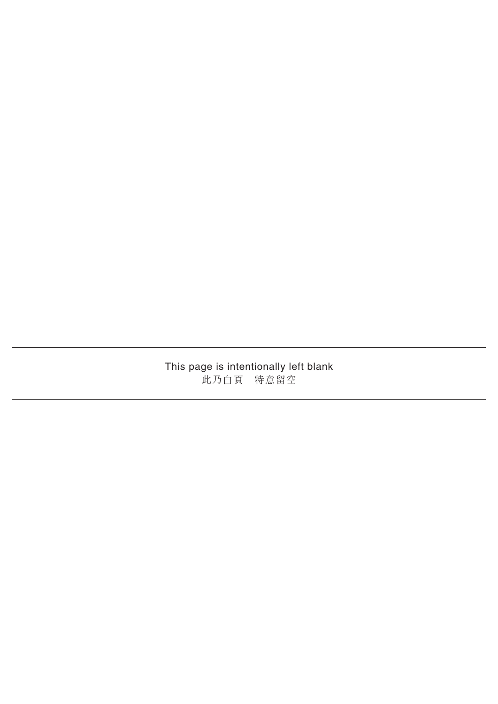This page is intentionally left blank 此乃白頁 特意留空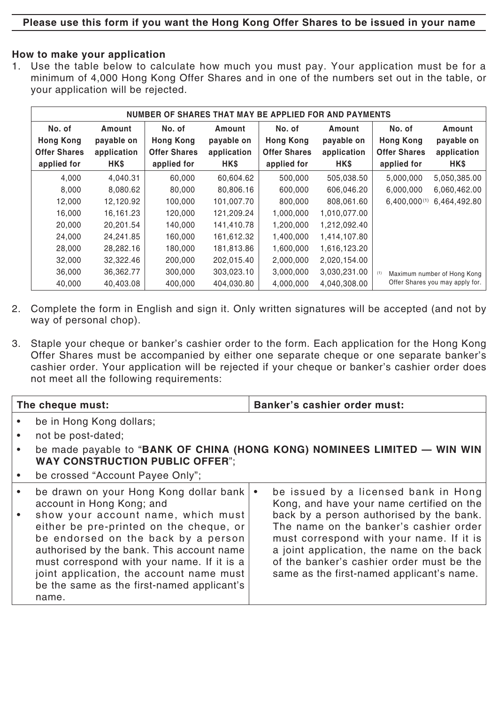## **How to make your application**

1. Use the table below to calculate how much you must pay. Your application must be for a minimum of 4,000 Hong Kong Offer Shares and in one of the numbers set out in the table, or your application will be rejected.

| NUMBER OF SHARES THAT MAY BE APPLIED FOR AND PAYMENTS |                      |                            |                      |                            |                      |                            |                                 |
|-------------------------------------------------------|----------------------|----------------------------|----------------------|----------------------------|----------------------|----------------------------|---------------------------------|
| No. of<br><b>Hong Kong</b>                            | Amount<br>payable on | No. of<br><b>Hong Kong</b> | Amount<br>payable on | No. of<br><b>Hong Kong</b> | Amount<br>payable on | No. of<br><b>Hong Kong</b> | Amount<br>payable on            |
| <b>Offer Shares</b>                                   | application          | <b>Offer Shares</b>        | application          | <b>Offer Shares</b>        | application          | <b>Offer Shares</b>        | application                     |
| applied for                                           | HK\$                 | applied for                | HK\$                 | applied for                | HK\$                 | applied for                | HK\$                            |
| 4,000                                                 | 4,040.31             | 60,000                     | 60,604.62            | 500,000                    | 505,038.50           | 5,000,000                  | 5,050,385.00                    |
| 8,000                                                 | 8,080.62             | 80,000                     | 80,806.16            | 600,000                    | 606,046.20           | 6,000,000                  | 6,060,462.00                    |
| 12,000                                                | 12,120.92            | 100,000                    | 101,007.70           | 800,000                    | 808,061.60           | 6,400,000(1)               | 6,464,492.80                    |
| 16,000                                                | 16,161.23            | 120,000                    | 121,209.24           | 1,000,000                  | 1,010,077.00         |                            |                                 |
| 20,000                                                | 20,201.54            | 140,000                    | 141,410.78           | 1,200,000                  | 1,212,092.40         |                            |                                 |
| 24,000                                                | 24,241.85            | 160,000                    | 161,612.32           | 1,400,000                  | 1,414,107.80         |                            |                                 |
| 28,000                                                | 28,282.16            | 180,000                    | 181,813.86           | 1,600,000                  | 1,616,123.20         |                            |                                 |
| 32,000                                                | 32,322.46            | 200,000                    | 202,015.40           | 2,000,000                  | 2,020,154.00         |                            |                                 |
| 36,000                                                | 36,362.77            | 300,000                    | 303,023.10           | 3,000,000                  | 3,030,231.00         | (1)                        | Maximum number of Hong Kong     |
| 40,000                                                | 40,403.08            | 400,000                    | 404,030.80           | 4,000,000                  | 4,040,308.00         |                            | Offer Shares you may apply for. |

- 2. Complete the form in English and sign it. Only written signatures will be accepted (and not by way of personal chop).
- 3. Staple your cheque or banker's cashier order to the form. Each application for the Hong Kong Offer Shares must be accompanied by either one separate cheque or one separate banker's cashier order. Your application will be rejected if your cheque or banker's cashier order does not meet all the following requirements:

| The cheque must:                                                                                                                                                                                                                                                                                                                                                                          | <b>Banker's cashier order must:</b> |                                                                                                                                                                                                                                                                                                                                                            |  |  |
|-------------------------------------------------------------------------------------------------------------------------------------------------------------------------------------------------------------------------------------------------------------------------------------------------------------------------------------------------------------------------------------------|-------------------------------------|------------------------------------------------------------------------------------------------------------------------------------------------------------------------------------------------------------------------------------------------------------------------------------------------------------------------------------------------------------|--|--|
| be in Hong Kong dollars;<br>not be post-dated;<br><b>WAY CONSTRUCTION PUBLIC OFFER";</b><br>be crossed "Account Payee Only";                                                                                                                                                                                                                                                              |                                     | be made payable to "BANK OF CHINA (HONG KONG) NOMINEES LIMITED - WIN WIN                                                                                                                                                                                                                                                                                   |  |  |
| be drawn on your Hong Kong dollar bank<br>account in Hong Kong; and<br>show your account name, which must<br>either be pre-printed on the cheque, or<br>be endorsed on the back by a person<br>authorised by the bank. This account name<br>must correspond with your name. If it is a<br>joint application, the account name must<br>be the same as the first-named applicant's<br>name. |                                     | be issued by a licensed bank in Hong<br>Kong, and have your name certified on the<br>back by a person authorised by the bank.<br>The name on the banker's cashier order<br>must correspond with your name. If it is<br>a joint application, the name on the back<br>of the banker's cashier order must be the<br>same as the first-named applicant's name. |  |  |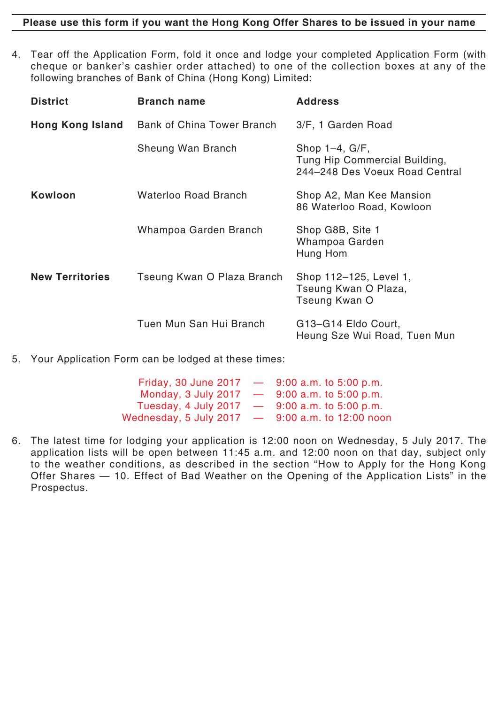## **Please use this form if you want the Hong Kong Offer Shares to be issued in your name**

4. Tear off the Application Form, fold it once and lodge your completed Application Form (with cheque or banker's cashier order attached) to one of the collection boxes at any of the following branches of Bank of China (Hong Kong) Limited:

| <b>District</b>         | <b>Branch name</b>                | <b>Address</b>                                                                          |  |
|-------------------------|-----------------------------------|-----------------------------------------------------------------------------------------|--|
| <b>Hong Kong Island</b> | <b>Bank of China Tower Branch</b> | 3/F, 1 Garden Road                                                                      |  |
|                         | Sheung Wan Branch                 | Shop $1-4$ , $G/F$ ,<br>Tung Hip Commercial Building,<br>244-248 Des Voeux Road Central |  |
| Kowloon                 | <b>Waterloo Road Branch</b>       | Shop A2, Man Kee Mansion<br>86 Waterloo Road, Kowloon                                   |  |
|                         | Whampoa Garden Branch             | Shop G8B, Site 1<br>Whampoa Garden<br>Hung Hom                                          |  |
| <b>New Territories</b>  | Tseung Kwan O Plaza Branch        | Shop 112-125, Level 1,<br>Tseung Kwan O Plaza,<br>Tseung Kwan O                         |  |
|                         | Tuen Mun San Hui Branch           | G13-G14 Eldo Court,<br>Heung Sze Wui Road, Tuen Mun                                     |  |

5. Your Application Form can be lodged at these times:

| Friday, 30 June 2017   | $\overline{\phantom{m}}$ | 9:00 a.m. to 5:00 p.m.     |
|------------------------|--------------------------|----------------------------|
| Monday, 3 July 2017    | $\overline{\phantom{m}}$ | $9:00$ a.m. to $5:00$ p.m. |
| Tuesday, 4 July 2017   | $\overline{\phantom{a}}$ | $9:00$ a.m. to $5:00$ p.m. |
| Wednesday, 5 July 2017 | $\overline{\phantom{0}}$ | 9:00 a.m. to 12:00 noon    |

6. The latest time for lodging your application is 12:00 noon on Wednesday, 5 July 2017. The application lists will be open between 11:45 a.m. and 12:00 noon on that day, subject only to the weather conditions, as described in the section "How to Apply for the Hong Kong Offer Shares — 10. Effect of Bad Weather on the Opening of the Application Lists" in the Prospectus.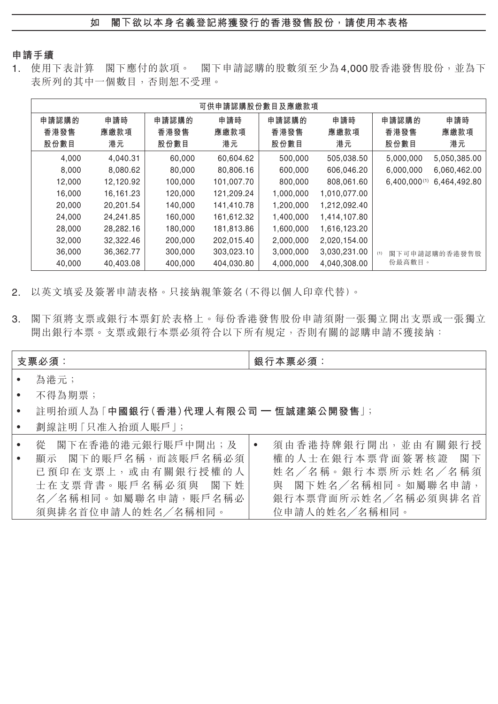**如 閣下欲以本身名義登記將獲發行的香港發售股份,請使用本表格**

#### **申請手續**

1. 使用下表計算 閣下應付的款項。 閣下申請認購的股數須至少為 4,000 股香港發售股份,並為下 表所列的其中一個數目,否則恕不受理。

| 可供申請認購股份數目及應繳款項 |           |         |            |           |              |              |               |
|-----------------|-----------|---------|------------|-----------|--------------|--------------|---------------|
| 申請認購的           | 申請時       | 申請認購的   | 申請時        | 申請認購的     | 申請時          | 申請認購的        | 申請時           |
| 香港發售            | 應繳款項      | 香港發售    | 應繳款項       | 香港發售      | 應繳款項         | 香港發售         | 應繳款項          |
| 股份數目            | 港元        | 股份數目    | 港元         | 股份數目      | 港元           | 股份數目         | 港元            |
| 4,000           | 4,040.31  | 60,000  | 60,604.62  | 500,000   | 505,038.50   | 5,000,000    | 5,050,385.00  |
| 8,000           | 8,080.62  | 80,000  | 80,806.16  | 600,000   | 606,046.20   | 6,000,000    | 6,060,462.00  |
| 12,000          | 12,120.92 | 100,000 | 101,007.70 | 800,000   | 808,061.60   | 6,400,000(1) | 6,464,492.80  |
| 16,000          | 16,161.23 | 120,000 | 121,209.24 | 1,000,000 | 1,010,077.00 |              |               |
| 20,000          | 20,201.54 | 140,000 | 141,410.78 | 1,200,000 | 1,212,092.40 |              |               |
| 24,000          | 24,241.85 | 160,000 | 161,612.32 | 1,400,000 | 1,414,107.80 |              |               |
| 28,000          | 28,282.16 | 180,000 | 181,813.86 | 1,600,000 | 1,616,123.20 |              |               |
| 32,000          | 32,322.46 | 200,000 | 202,015.40 | 2,000,000 | 2,020,154.00 |              |               |
| 36,000          | 36.362.77 | 300,000 | 303,023.10 | 3,000,000 | 3,030,231.00 | (1)          | 閣下可申請認購的香港發售股 |
| 40,000          | 40,403.08 | 400,000 | 404,030.80 | 4,000,000 | 4,040,308.00 | 份最高數目。       |               |

- 2. 以英文填妥及簽署申請表格。只接納親筆簽名(不得以個人印章代替)。
- 3. 閣下須將支票或銀行本票釘於表格上。每份香港發售股份申請須附一張獨立開出支票或一張獨立 開出銀行本票。支票或銀行本票必須符合以下所有規定,否則有關的認購申請不獲接納:

|           | 支票必須:                               |           | 銀行本票必須:             |
|-----------|-------------------------------------|-----------|---------------------|
|           | 為港元;                                |           |                     |
| $\bullet$ | 不得為期票;                              |           |                     |
|           | 註明抬頭人為「中國銀行(香港)代理人有限公司 — 恆誠建築公開發售」; |           |                     |
|           | 劃線註明 「只准入抬頭人賬戶」;                    |           |                     |
|           | 閣下在香港的港元銀行賬戶中開出;及<br>從              | $\bullet$ | 須由香港持牌銀行開出,並由有關銀行授  |
|           | 顯示 閣下的賬戶名稱,而該賬戶名稱必須                 |           | 權的人士在銀行本票背面簽署核證 閣下  |
|           | 已預印在支票上,或由有關銀行授權的人                  |           | 姓名/名稱。銀行本票所示姓名/名稱須  |
|           | 士在支票背書。賬戶名稱必須與 閣下姓                  |           | 與 閣下姓名/名稱相同。如屬聯名申請, |
|           | 名/名稱相同。如屬聯名申請,賬戶名稱必                 |           | 銀行本票背面所示姓名/名稱必須與排名首 |
|           | 須與排名首位申請人的姓名/名稱相同。                  |           | 位申請人的姓名/名稱相同。       |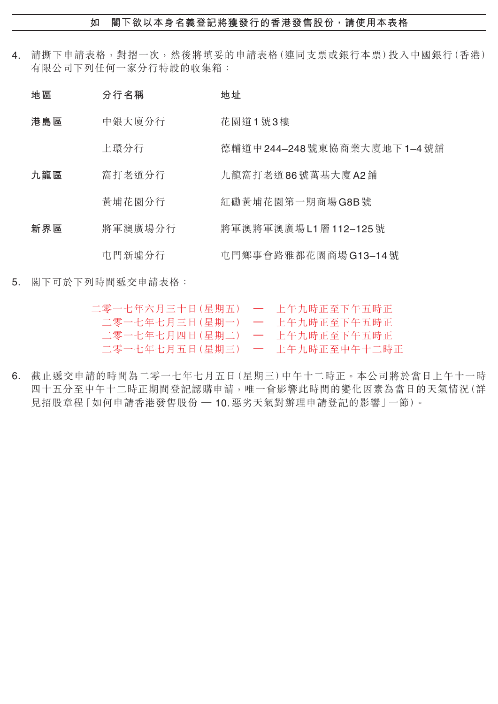#### **如 閣下欲以本身名義登記將獲發行的香港發售股份,請使用本表格**

- 4. 請撕下申請表格,對摺一次,然後將填妥的申請表格(連同支票或銀行本票)投入中國銀行(香港) 有限公司下列任何一家分行特設的收集箱:
	- **地區 分行名稱 地址 港島區** 中銀大廈分行 花園道 1 號 3 樓 上環分行 有关系 德輔道中 244-248 號東協商業大廈地下 1-4 號舖 九龍區 窩打老道分行 九龍窩打老道 86 號萬基大廈 A2 舖 黃埔花園分行 紅磡黃埔花園第一期商場 G8B 號 新界區 將軍澳廣場分行 將軍澳將軍澳廣場 L1 層 112-125 號 屯門新墟分行 屯門鄉事會路雅都花園商場 G13–14 號
- 5. 閣下可於下列時間遞交申請表格:

二零一七年六月三十日(星期五) — 上午九時正至下午五時正 二零一七年七月三日(星期一) — 上午九時正至下午五時正 二零一七年七月四日(星期二) — 上午九時正至下午五時正 二零一七年七月五日(星期三) — 上午九時正至中午十二時正

6. 截止遞交申請的時間為二零一七年七月五日(星期三)中午十二時正。本公司將於當日上午十一時 四十五分至中午十二時正期間登記認購申請,唯一會影響此時間的變化因素為當日的天氣情況(詳 見招股章程「如何申請香港發售股份 — 10. 惡劣天氣對辦理申請登記的影響」一節)。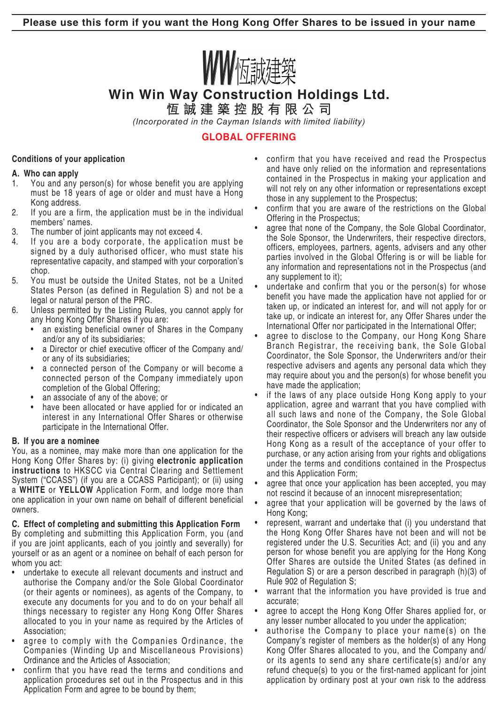# **Please use this form if you want the Hong Kong Offer Shares to be issued in your name**



# **Win Win Way Construction Holdings Ltd.**

**恆 誠 建 築 控 股 有 限 公 司**

*(Incorporated in the Cayman Islands with limited liability)*

## **GLOBAL OFFERING**

#### **Conditions of your application**

#### **A. Who can apply**

- 1. You and any person(s) for whose benefit you are applying must be 18 years of age or older and must have a Hong Kong address.
- 2. If you are a firm, the application must be in the individual members' names.
- 3. The number of joint applicants may not exceed 4.
- 4. If you are a body corporate, the application must be signed by a duly authorised officer, who must state his representative capacity, and stamped with your corporation's chop.
- 5. You must be outside the United States, not be a United States Person (as defined in Regulation S) and not be a legal or natural person of the PRC.
- 6. Unless permitted by the Listing Rules, you cannot apply for any Hong Kong Offer Shares if you are:
	- an existing beneficial owner of Shares in the Company and/or any of its subsidiaries;
	- a Director or chief executive officer of the Company and/ or any of its subsidiaries;
	- a connected person of the Company or will become a connected person of the Company immediately upon completion of the Global Offering;
	- an associate of any of the above; or
	- have been allocated or have applied for or indicated an interest in any International Offer Shares or otherwise participate in the International Offer.

#### **B. If you are a nominee**

You, as a nominee, may make more than one application for the Hong Kong Offer Shares by: (i) giving **electronic application instructions** to HKSCC via Central Clearing and Settlement System ("CCASS") (if you are a CCASS Participant); or (ii) using a **WHITE** or **YELLOW** Application Form, and lodge more than one application in your own name on behalf of different beneficial owners.

#### **C. Effect of completing and submitting this Application Form**

By completing and submitting this Application Form, you (and if you are joint applicants, each of you jointly and severally) for yourself or as an agent or a nominee on behalf of each person for whom you act:

- undertake to execute all relevant documents and instruct and authorise the Company and/or the Sole Global Coordinator (or their agents or nominees), as agents of the Company, to execute any documents for you and to do on your behalf all things necessary to register any Hong Kong Offer Shares allocated to you in your name as required by the Articles of Association;
- agree to comply with the Companies Ordinance, the Companies (Winding Up and Miscellaneous Provisions) Ordinance and the Articles of Association;
- confirm that you have read the terms and conditions and application procedures set out in the Prospectus and in this Application Form and agree to be bound by them;
- confirm that you have received and read the Prospectus and have only relied on the information and representations contained in the Prospectus in making your application and will not rely on any other information or representations except those in any supplement to the Prospectus;
- confirm that you are aware of the restrictions on the Global Offering in the Prospectus;
- agree that none of the Company, the Sole Global Coordinator, the Sole Sponsor, the Underwriters, their respective directors, officers, employees, partners, agents, advisers and any other parties involved in the Global Offering is or will be liable for any information and representations not in the Prospectus (and any supplement to it);
- undertake and confirm that you or the person(s) for whose benefit you have made the application have not applied for or taken up, or indicated an interest for, and will not apply for or take up, or indicate an interest for, any Offer Shares under the International Offer nor participated in the International Offer;
- agree to disclose to the Company, our Hong Kong Share Branch Registrar, the receiving bank, the Sole Global Coordinator, the Sole Sponsor, the Underwriters and/or their respective advisers and agents any personal data which they may require about you and the person(s) for whose benefit you have made the application;
- if the laws of any place outside Hong Kong apply to your application, agree and warrant that you have complied with all such laws and none of the Company, the Sole Global Coordinator, the Sole Sponsor and the Underwriters nor any of their respective officers or advisers will breach any law outside Hong Kong as a result of the acceptance of your offer to purchase, or any action arising from your rights and obligations under the terms and conditions contained in the Prospectus and this Application Form;
- agree that once your application has been accepted, you may not rescind it because of an innocent misrepresentation;
- agree that your application will be governed by the laws of Hong Kong;
- represent, warrant and undertake that (i) you understand that the Hong Kong Offer Shares have not been and will not be registered under the U.S. Securities Act; and (ii) you and any person for whose benefit you are applying for the Hong Kong Offer Shares are outside the United States (as defined in Regulation S) or are a person described in paragraph (h)(3) of Rule 902 of Regulation S;
- warrant that the information you have provided is true and accurate;
- agree to accept the Hong Kong Offer Shares applied for, or any lesser number allocated to you under the application;
- authorise the Company to place your name(s) on the Company's register of members as the holder(s) of any Hong Kong Offer Shares allocated to you, and the Company and/ or its agents to send any share certificate(s) and/or any refund cheque(s) to you or the first-named applicant for joint application by ordinary post at your own risk to the address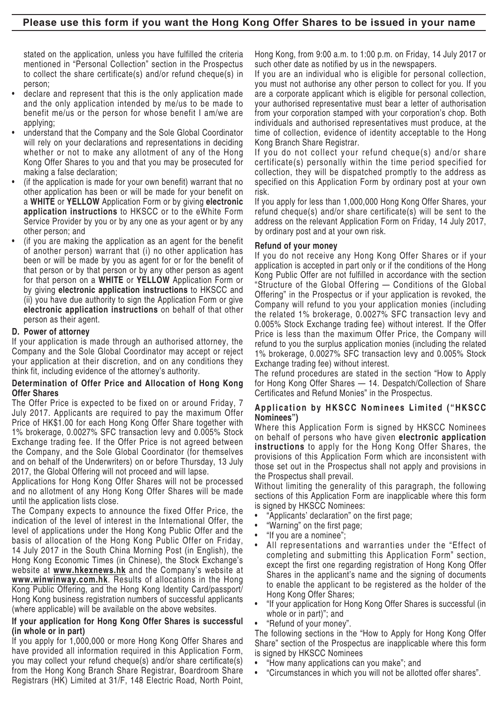stated on the application, unless you have fulfilled the criteria mentioned in "Personal Collection" section in the Prospectus to collect the share certificate(s) and/or refund cheque(s) in person;

- declare and represent that this is the only application made and the only application intended by me/us to be made to benefit me/us or the person for whose benefit I am/we are applying;
- understand that the Company and the Sole Global Coordinator will rely on your declarations and representations in deciding whether or not to make any allotment of any of the Hong Kong Offer Shares to you and that you may be prosecuted for making a false declaration;
- (if the application is made for your own benefit) warrant that no other application has been or will be made for your benefit on a **WHITE** or **YELLOW** Application Form or by giving **electronic application instructions** to HKSCC or to the eWhite Form Service Provider by you or by any one as your agent or by any other person; and
- (if you are making the application as an agent for the benefit of another person) warrant that (i) no other application has been or will be made by you as agent for or for the benefit of that person or by that person or by any other person as agent for that person on a **WHITE** or **YELLOW** Application Form or by giving **electronic application instructions** to HKSCC and (ii) you have due authority to sign the Application Form or give **electronic application instructions** on behalf of that other person as their agent.

#### **D. Power of attorney**

If your application is made through an authorised attorney, the Company and the Sole Global Coordinator may accept or reject your application at their discretion, and on any conditions they think fit, including evidence of the attorney's authority.

#### **Determination of Offer Price and Allocation of Hong Kong Offer Shares**

The Offer Price is expected to be fixed on or around Friday, 7 July 2017. Applicants are required to pay the maximum Offer Price of HK\$1.00 for each Hong Kong Offer Share together with 1% brokerage, 0.0027% SFC transaction levy and 0.005% Stock Exchange trading fee. If the Offer Price is not agreed between the Company, and the Sole Global Coordinator (for themselves and on behalf of the Underwriters) on or before Thursday, 13 July 2017, the Global Offering will not proceed and will lapse.

Applications for Hong Kong Offer Shares will not be processed and no allotment of any Hong Kong Offer Shares will be made until the application lists close.

The Company expects to announce the fixed Offer Price, the indication of the level of interest in the International Offer, the level of applications under the Hong Kong Public Offer and the basis of allocation of the Hong Kong Public Offer on Friday, 14 July 2017 in the South China Morning Post (in English), the Hong Kong Economic Times (in Chinese), the Stock Exchange's website at **www.hkexnews.hk** and the Company's website at **www.winwinway.com.hk**. Results of allocations in the Hong Kong Public Offering, and the Hong Kong Identity Card/passport/ Hong Kong business registration numbers of successful applicants (where applicable) will be available on the above websites.

#### **If your application for Hong Kong Offer Shares is successful (in whole or in part)**

If you apply for 1,000,000 or more Hong Kong Offer Shares and have provided all information required in this Application Form, you may collect your refund cheque(s) and/or share certificate(s) from the Hong Kong Branch Share Registrar, Boardroom Share Registrars (HK) Limited at 31/F, 148 Electric Road, North Point, Hong Kong, from 9:00 a.m. to 1:00 p.m. on Friday, 14 July 2017 or such other date as notified by us in the newspapers.

If you are an individual who is eligible for personal collection, you must not authorise any other person to collect for you. If you are a corporate applicant which is eligible for personal collection, your authorised representative must bear a letter of authorisation from your corporation stamped with your corporation's chop. Both individuals and authorised representatives must produce, at the time of collection, evidence of identity acceptable to the Hong Kong Branch Share Registrar.

If you do not collect your refund cheque(s) and/or share certificate(s) personally within the time period specified for collection, they will be dispatched promptly to the address as specified on this Application Form by ordinary post at your own risk.

If you apply for less than 1,000,000 Hong Kong Offer Shares, your refund cheque(s) and/or share certificate(s) will be sent to the address on the relevant Application Form on Friday, 14 July 2017, by ordinary post and at your own risk.

#### **Refund of your money**

If you do not receive any Hong Kong Offer Shares or if your application is accepted in part only or if the conditions of the Hong Kong Public Offer are not fulfilled in accordance with the section "Structure of the Global Offering — Conditions of the Global Offering" in the Prospectus or if your application is revoked, the Company will refund to you your application monies (including the related 1% brokerage, 0.0027% SFC transaction levy and 0.005% Stock Exchange trading fee) without interest. If the Offer Price is less than the maximum Offer Price, the Company will refund to you the surplus application monies (including the related 1% brokerage, 0.0027% SFC transaction levy and 0.005% Stock Exchange trading fee) without interest.

The refund procedures are stated in the section "How to Apply for Hong Kong Offer Shares — 14. Despatch/Collection of Share Certificates and Refund Monies" in the Prospectus.

#### **Application by HKSCC Nominees Limited ("HKSCC Nominees")**

Where this Application Form is signed by HKSCC Nominees on behalf of persons who have given **electronic application instructions** to apply for the Hong Kong Offer Shares, the provisions of this Application Form which are inconsistent with those set out in the Prospectus shall not apply and provisions in the Prospectus shall prevail.

Without limiting the generality of this paragraph, the following sections of this Application Form are inapplicable where this form is signed by HKSCC Nominees:

- "Applicants' declaration" on the first page;
- "Warning" on the first page;
- "If you are a nominee";
- All representations and warranties under the "Effect of completing and submitting this Application Form" section, except the first one regarding registration of Hong Kong Offer Shares in the applicant's name and the signing of documents to enable the applicant to be registered as the holder of the Hong Kong Offer Shares;
- "If your application for Hong Kong Offer Shares is successful (in whole or in part)"; and
- "Refund of your money".

The following sections in the "How to Apply for Hong Kong Offer Share" section of the Prospectus are inapplicable where this form is signed by HKSCC Nominees

- "How many applications can you make"; and
- • "Circumstances in which you will not be allotted offer shares".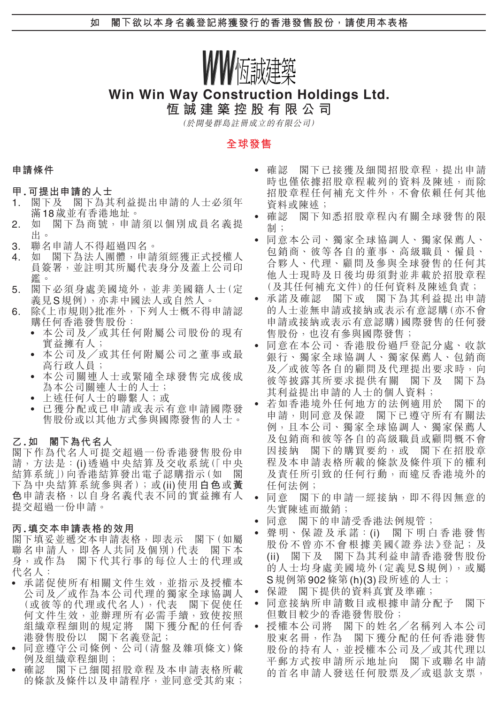

# **Win Win Way Construction Holdings Ltd.**

# **恆 誠 建 築 控 股 有 限 公 司**

(於開曼群島註冊成立的有限公司)

# **全球發售**

#### **申請條件**

#### **甲 . 可提出申請的人士**

- 1. 閣下及 閣下為其利益提出申請的人士必須年 滿 18 歲並有香港地址。
- 2. 如 閣下為商號,申請須以個別成員名義提 出。
- 3. 聯名申請人不得超過四名。
- 4. 如 閣下為法人團體,申請須經獲正式授權人 員簽署,並註明其所屬代表身分及蓋上公司印 鑑。
- 5. 閣下必須身處美國境外,並非美國籍人士(定 義見 S 規例), 亦非中國法人或自然人。
- 6. 除《上市規則》批准外,下列人士概不得申請認 購任何香港發售股份:
	- 本公司及╱或其任何附屬公司股份的現有 實益擁有人;
	- 本公司及╱或其任何附屬公司之董事或最 高行政人員;
	- 本公司關連人士或緊隨全球發售完成後成 為本公司關連人士的人士;
	- 上述任何人士的聯繫人;或
	- 已獲分配或已申請或表示有意申請國際發 售股份或以其他方式參與國際發售的人士。

#### **乙 . 如 閣下為代名人**

閣下作為代名人可提交超過一份香港發售股份申 請,方法是:(i) 透過中央結算及交收系統(「中央 結算系統」)向香港結算發出電子認購指示(如 閣 下為中央結算系統參與者);或 (ii) 使用**白色**或**黃 色**申請表格,以自身名義代表不同的實益擁有人 提交超過一份申請。

#### **丙 . 填交本申請表格的效用**

閣下填妥並遞交本申請表格,即表示 閣下(如屬 聯名申請人,即各人共同及個別)代表 閣下本 身,或作為 閣下代其行事的每位人士的代理或 代名人:

- 承諾促使所有相關文件生效,並指示及授權本 公司及╱或作為本公司代理的獨家全球協調人 (或彼等的代理或代名人),代表 閣下促使任 何文件生效,並辦理所有必需手續,致使按照 組織章程細則的規定將 閣下獲分配的任何香 港發售股份以 閣下名義登記;
- 同意遵守公司條例、公司(清盤及雜項條文)條 例及組織章程細則;
- 確認 閣下已細閲招股章程及本申請表格所載 的條款及條件以及申請程序,並同意受其約束;
- 確認 閣下已接獲及細閱招股章程,提出申請 時也僅依據招股章程載列的資料及陳述,而除 招股章程任何補充文件外,不會依賴任何其他 資料或陳述;
- 確認 閣下知悉招股章程內有關全球發售的限 制;
- 同意本公司、獨家全球協調人、獨家保薦人、 包銷商、彼等各自的董事、高級職員、僱員、 合夥人、代理、顧問及參與全球發售的任何其 他人士現時及日後均毋須對並非載於招股章程 (及其任何補充文件)的任何資料及陳述負責;
- 承諾及確認 閣下或 閣下為其利益提出申請 的人士並無申請或接納或表示有意認購(亦不會 申請或接納或表示有意認購)國際發售的任何發 售股份,也沒有參與國際發售;
- 同意在本公司、香港股份過戶登記分處、收款 銀行、獨家全球協調人、獨家保薦人、包銷商 及/或彼等各自的顧問及代理提出要求時,向 彼等披露其所要求提供有關 閣下及 閣下為 其利益提出申請的人士的個人資料;
- 若如香港境外任何地方的法例適用於 閣下的 申請,則同意及保證 閣下已遵守所有有關法 例,且本公司、獨家全球協調人、獨家保薦人 及包銷商和彼等各自的高級職員或顧問概不會 因接納 閣下的購買要約,或 閣下在招股章 程及本申請表格所載的條款及條件項下的權利 及責任所引致的任何行動,而違反香港境外的 任何法例;
- 同意 閣下的申請一經接納,即不得因無意的 失實陳述而撤銷;
- 同意 閣下的申請受香港法例規管;
- 聲 明、 保 證 及 承 諾 : (i) 閣 下 明 白 香 港 發 售 股份不曾亦不會根據美國《證券法》登記;及 (ii) 閣下及 閣下為其利益申請香港發售股份 的人士均身處美國境外(定義見S規例), 或屬 S規例第 902條第(h)(3) 段所述的人士;
- 保證 閣下提供的資料真實及準確;
- 同意接納所申請數目或根據申請分配予 閣下 但數目較少的香港發售股份;
- 授權本公司將 閣下的姓名╱名稱列入本公司 股東名冊,作為 閣下獲分配的任何香港發售 股份的持有人,並授權本公司及╱或其代理以 平郵方式按申請所示地址向 閣下或聯名申請 的首名申請人發送任何股票及/或退款支票,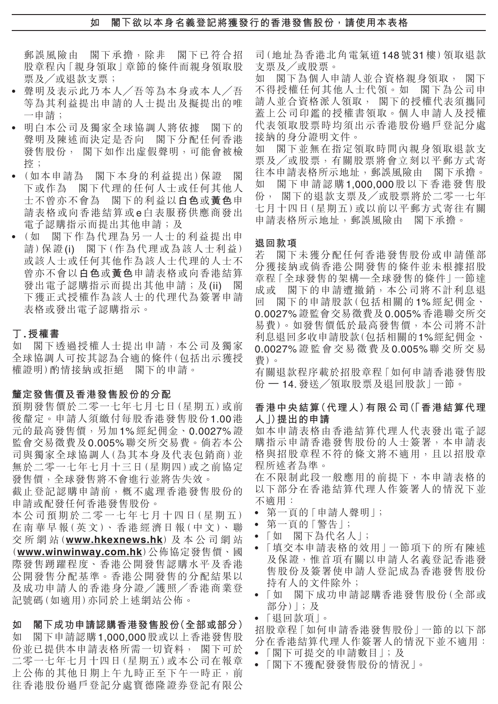郵誤風險由 閣下承擔,除非 閣下已符合招 股章程內「親身領取」章節的條件而親身領取股 票及╱或退款支票;

- 聲明及表示此乃本人╱吾等為本身或本人╱吾 等為其利益提出申請的人士提出及擬提出的唯 一申請;
- 明白本公司及獨家全球協調人將依據 閣下的 聲明及陳述而決定是否向 閣下分配任何香港 發售股份, 閣下如作出虛假聲明,可能會被檢 控;
- (如本申請為 閣下本身的利益提出)保證 閣 下或作為 閣下代理的任何人士或任何其他人 士不曾亦不會為 閣下的利益以**白色**或**黃色**申 請表格或向香港結算或 e 白表服務供應商發出 電子認購指示而提出其他申請;及
- (如 閣下作為代理為另一人士的利益提出申 請)保證 (i) 閣下(作為代理或為該人士利益) 或該人士或任何其他作為該人士代理的人士不 曾亦不會以**白色**或**黃色**申請表格或向香港結算 發出電子認購指示而提出其他申請;及 (ii) 閣 下獲正式授權作為該人士的代理代為簽署申請 表格或發出電子認購指示。

#### **丁 . 授權書**

如 閣下透過授權人士提出申請,本公司及獨家 全球協調人可按其認為合適的條件(包括出示獲授 權證明)酌情接納或拒絕 閣下的申請。

#### **釐定發售價及香港發售股份的分配**

預期發售價於二零一七年七月七日(星期五)或前 後釐定。申請人須繳付每股香港發售股份 1.00 港 元的最高發售價,另加 1% 經紀佣金、0.0027% 證 監會交易徵費及 0.005% 聯交所交易費。倘若本公 司與獨家全球協調人(為其本身及代表包銷商)並 無於二零一七年七月十三日(星期四)或之前協定 發售價,全球發售將不會進行並將告失效。

截止登記認購申請前,概不處理香港發售股份的 申請或配發任何香港發售股份。

本公司預期於二零一七年七月十四日(星期五) 在南華早報(英文)、香港經濟日報(中文)、聯 交 所 網 站(**www.hkexnews.hk**)及 本 公 司 網 站 (**www.winwinway.com.hk**)公佈協定發售價、國 際發售踴躍程度、香港公開發售認購水平及香港 公開發售分配基準。香港公開發售的分配結果以 及成功申請人的香港身分證╱護照╱香港商業登 記號碼(如適用)亦同於上述網站公佈。

**如 閣下成功申請認購香港發售股份(全部或部分)** 如 閣下申請認購 1,000,000 股或以上香港發售股 份並已提供本申請表格所需一切資料, 閣下可於 二零一七年七月十四日(星期五)或本公司在報章 上公佈的其他日期上午九時正至下午一時正,前 往香港股份過戶登記分處寶德隆證券登記有限公 司(地址為香港北角電氣道 148 號 31 樓)領取退款 支票及╱或股票。

如 閣下為個人申請人並合資格親身領取, 閣下 不得授權任何其他人士代領。如 閣下為公司申 請人並合資格派人領取, 閣下的授權代表須攜同 蓋上公司印鑑的授權書領取。個人申請人及授權 代表領取股票時均須出示香港股份過戶登記分處 接納的身分證明文件。

如 閣下並無在指定領取時間內親身領取退款支 票及╱或股票,有關股票將會立刻以平郵方式寄 往本申請表格所示地址,郵誤風險由 閣下承擔。 如 閣下申請認購 1,000,000 股以下香港發售股 份, 閣下的退款支票及╱或股票將於二零一七年 七月十四日(星期五)或以前以平郵方式寄往有關 申請表格所示地址,郵誤風險由 閣下承擔。

#### **退回款項**

若 閣下未獲分配任何香港發售股份或申請僅部 分獲接納或倘香港公開發售的條件並未根據招股 章程「全球發售的架構─全球發售的條件」一節達 成或 閣下的申請遭撤銷,本公司將不計利息退 回 閣下的申請股款(包括相關的 1% 經紀佣金、 0.0027%證監會交易徵費及0.005%香港聯交所交 易費)。如發售價低於最高發售價,本公司將不計 利息退回多收申請股款(包括相關的1%經紀佣金、 0.0027% 證監會交易徵費及 0.005% 聯交所交易 費)。

有關退款程序載於招股章程「如何申請香港發售股 份 — 14. 發送╱領取股票及退回股款」一節。

## **香港中央結算(代理人)有限公司(「香港結算代理 人」)提出的申請**

如本申請表格由香港結算代理人代表發出電子認 購指示申請香港發售股份的人士簽署,本申請表 格與招股章程不符的條文將不適用,且以招股章 程所述者為準。

在不限制此段一般應用的前提下,本申請表格的 以下部分在香港結算代理人作簽署人的情況下並 不適用:

- 第一頁的「申請人聲明」;
- 第一頁的「警告」;
- 「如 閣下為代名人」;
- 「填交本申請表格的效用」一節項下的所有陳述 及保證,惟首項有關以申請人名義登記香港發 售股份及簽署使申請人登記成為香港發售股份 持有人的文件除外;
- 「如 閣下成功申請認購香港發售股份(全部或 部分)」;及
- 「退回款項」。

招股章程「如何申請香港發售股份」一節的以下部 分在香港結算代理人作簽署人的情況下並不適用:

- 「閣下可提交的申請數目」;及
- 「閣下不獲配發發售股份的情況」。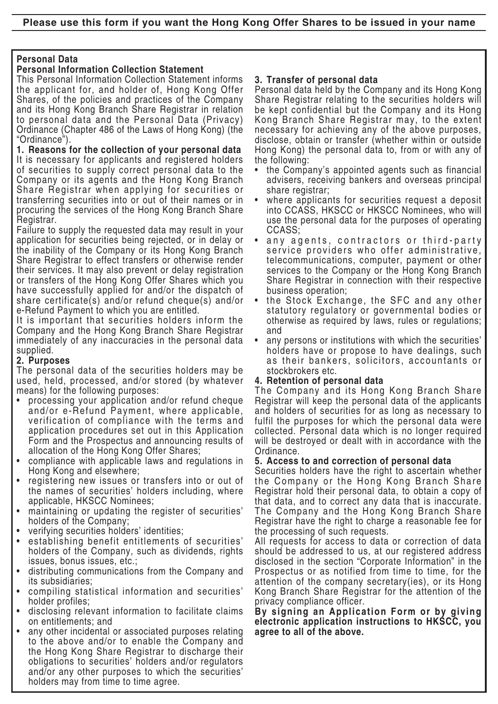# **Personal Data**

# **Personal Information Collection Statement**

This Personal Information Collection Statement informs the applicant for, and holder of, Hong Kong Offer Shares, of the policies and practices of the Company and its Hong Kong Branch Share Registrar in relation to personal data and the Personal Data (Privacy) Ordinance (Chapter 486 of the Laws of Hong Kong) (the "Ordinance").

**1. Reasons for the collection of your personal data** It is necessary for applicants and registered holders of securities to supply correct personal data to the Company or its agents and the Hong Kong Branch Share Registrar when applying for securities or transferring securities into or out of their names or in procuring the services of the Hong Kong Branch Share Registrar.

Failure to supply the requested data may result in your application for securities being rejected, or in delay or the inability of the Company or its Hong Kong Branch Share Registrar to effect transfers or otherwise render their services. It may also prevent or delay registration or transfers of the Hong Kong Offer Shares which you have successfully applied for and/or the dispatch of share certificate(s) and/or refund cheque(s) and/or e-Refund Payment to which you are entitled.

It is important that securities holders inform the Company and the Hong Kong Branch Share Registrar immediately of any inaccuracies in the personal data supplied.

# **2. Purposes**

The personal data of the securities holders may be used, held, processed, and/or stored (by whatever means) for the following purposes:

- processing your application and/or refund cheque and/or e-Refund Payment, where applicable, verification of compliance with the terms and application procedures set out in this Application Form and the Prospectus and announcing results of allocation of the Hong Kong Offer Shares;
- compliance with applicable laws and regulations in Hong Kong and elsewhere;
- registering new issues or transfers into or out of the names of securities' holders including, where applicable, HKSCC Nominees;
- maintaining or updating the register of securities' holders of the Company;
- verifying securities holders' identities;
- establishing benefit entitlements of securities' holders of the Company, such as dividends, rights issues, bonus issues, etc.;
- distributing communications from the Company and its subsidiaries;
- compiling statistical information and securities' holder profiles;
- disclosing relevant information to facilitate claims on entitlements; and
- any other incidental or associated purposes relating to the above and/or to enable the Company and the Hong Kong Share Registrar to discharge their obligations to securities' holders and/or regulators and/or any other purposes to which the securities' holders may from time to time agree.

# **3. Transfer of personal data**

Personal data held by the Company and its Hong Kong Share Registrar relating to the securities holders will be kept confidential but the Company and its Hong Kong Branch Share Registrar may, to the extent necessary for achieving any of the above purposes, disclose, obtain or transfer (whether within or outside Hong Kong) the personal data to, from or with any of the following:

- the Company's appointed agents such as financial advisers, receiving bankers and overseas principal share registrar;
- where applicants for securities request a deposit into CCASS, HKSCC or HKSCC Nominees, who will use the personal data for the purposes of operating CCASS;
- any agents, contractors or third-party service providers who offer administrative, telecommunications, computer, payment or other services to the Company or the Hong Kong Branch Share Registrar in connection with their respective business operation;
- the Stock Exchange, the SFC and any other statutory regulatory or governmental bodies or otherwise as required by laws, rules or regulations; and
- any persons or institutions with which the securities' holders have or propose to have dealings, such as their bankers, solicitors, accountants or stockbrokers etc.

# **4. Retention of personal data**

The Company and its Hong Kong Branch Share Registrar will keep the personal data of the applicants and holders of securities for as long as necessary to fulfil the purposes for which the personal data were collected. Personal data which is no longer required will be destroyed or dealt with in accordance with the Ordinance.

# **5. Access to and correction of personal data**

Securities holders have the right to ascertain whether the Company or the Hong Kong Branch Share Registrar hold their personal data, to obtain a copy of that data, and to correct any data that is inaccurate. The Company and the Hong Kong Branch Share Registrar have the right to charge a reasonable fee for the processing of such requests.

All requests for access to data or correction of data should be addressed to us, at our registered address disclosed in the section "Corporate Information" in the Prospectus or as notified from time to time, for the attention of the company secretary(ies), or its Hong Kong Branch Share Registrar for the attention of the privacy compliance officer.

**By signing an Application Form or by giving electronic application instructions to HKSCC, you agree to all of the above.**